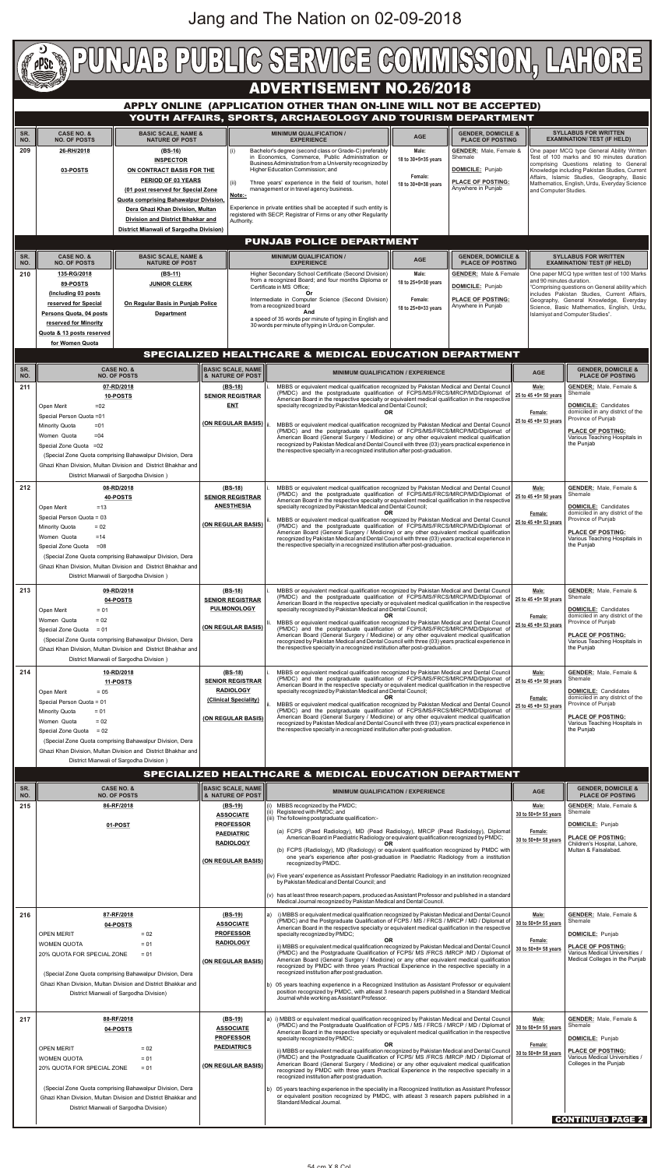

| SR.<br>NO. | <b>CASE NO. &amp;</b><br><b>NO. OF POSTS</b>                                                                                                                                                                                                                                                          | <b>BASIC SCALE, NAME</b><br><b>&amp; NATURE OF POST</b>                                                          | <b>MINIMUM QUALIFICATION / EXPERIENCE</b>                                                                                                                                                                                                                                                                                                                                                                                                                                                                                                                                                                                                                                                                                                                                                                                                                                                                                                                                                                                                | <b>AGE</b>                                                          | <b>GENDER, DOMICILE &amp;</b><br><b>PLACE OF POSTING</b>                                                                                                                        |
|------------|-------------------------------------------------------------------------------------------------------------------------------------------------------------------------------------------------------------------------------------------------------------------------------------------------------|------------------------------------------------------------------------------------------------------------------|------------------------------------------------------------------------------------------------------------------------------------------------------------------------------------------------------------------------------------------------------------------------------------------------------------------------------------------------------------------------------------------------------------------------------------------------------------------------------------------------------------------------------------------------------------------------------------------------------------------------------------------------------------------------------------------------------------------------------------------------------------------------------------------------------------------------------------------------------------------------------------------------------------------------------------------------------------------------------------------------------------------------------------------|---------------------------------------------------------------------|---------------------------------------------------------------------------------------------------------------------------------------------------------------------------------|
| 215        | 86-RF/2018<br>01-POST                                                                                                                                                                                                                                                                                 | $(BS-19)$<br><b>ASSOCIATE</b><br><b>PROFESSOR</b><br><b>PAEDIATRIC</b><br><b>RADIOLOGY</b><br>(ON REGULAR BASIS) | (i) MBBS recognized by the PMDC;<br>(ii) Registered with PMDC; and<br>(iii) The following postgraduate qualification:-<br>(a) FCPS (Paed Radiology), MD (Pead Radiology), MRCP (Pead Radiology), Diplomat<br>American Board in Paediatric Radiology or equivalent qualification recognized by PMDC;<br>OR<br>(b) FCPS (Radiology), MD (Radiology) or equivalent qualification recognized by PMDC with<br>one year's experience after post-graduation in Paediatric Radiology from a institution<br>recognized by PMDC.<br>(iv) Five years' experience as Assistant Professor Paediatric Radiology in an institution recognized<br>by Pakistan Medical and Dental Council; and<br>(v) has at least three research papers, produced as Assistant Professor and published in a standard<br>Medical Journal recognized by Pakistan Medical and Dental Council.                                                                                                                                                                               | Male:<br>30 to 50+5= 55 years<br>Female:<br>$30$ to $50+8=58$ years | <b>GENDER: Male, Female &amp;</b><br>Shemale<br><b>DOMICILE:</b> Punjab<br><b>PLACE OF POSTING:</b><br>Children's Hospital, Lahore,<br>Multan & Faisalabad.                     |
| 216        | 87-RF/2018<br>04-POSTS<br><b>OPEN MERIT</b><br>$= 02$<br>$= 01$<br><b>WOMEN QUOTA</b><br>20% QUOTA FOR SPECIAL ZONE<br>$= 01$<br>(Special Zone Quota comprising Bahawalpur Division, Dera<br>Ghazi Khan Division, Multan Division and District Bhakkar and<br>District Mianwali of Sargodha Division) | $(BS-19)$<br><b>ASSOCIATE</b><br><b>PROFESSOR</b><br><b>RADIOLOGY</b><br>(ON REGULAR BASIS)                      | i) MBBS or equivalent medical qualification recognized by Pakistan Medical and Dental Council<br>a)<br>(PMDC) and the Postgraduate Qualification of FCPS / MS / FRCS / MRCP / MD / Diplomat of<br>American Board in the respective specialty or equivalent medical qualification in the respective<br>specialty recognized by PMDC;<br><b>OR</b><br>ii) MBBS or equivalent medical qualification recognized by Pakistan Medical and Dental Council<br>(PMDC) and the Postgraduate Qualification of FCPS/ MS /FRCS /MRCP /MD / Diplomat of<br>American Board (General Surgery / Medicine) or any other equivalent medical qualification<br>recognized by PMDC with three years Practical Experience in the respective specialty in a<br>recognized institution after post graduation.<br>b) 05 years teaching experience in a Recognized Institution as Assistant Professor or equivalent<br>position recognized by PMDC, with atleast 3 research papers published in a Standard Medical<br>Journal while working as Assistant Professor. | Male:<br>30 to 50+5= 55 years<br>Female:<br>30 to 50+8= 58 years    | <b>GENDER: Male, Female &amp;</b><br>Shemale<br><b>DOMICILE: Punjab</b><br><b>PLACE OF POSTING:</b><br>Various Medical Universities /<br>Medical Colleges in the Punjab         |
| 217        | 88-RF/2018<br>04-POSTS<br><b>OPEN MERIT</b><br>$= 02$<br>$= 01$<br><b>WOMEN QUOTA</b><br>20% QUOTA FOR SPECIAL ZONE<br>$= 01$<br>(Special Zone Quota comprising Bahawalpur Division, Dera<br>Ghazi Khan Division, Multan Division and District Bhakkar and<br>District Mianwali of Sargodha Division) | $(BS-19)$<br><b>ASSOCIATE</b><br><b>PROFESSOR</b><br><b>PAEDIATRICS</b><br>(ON REGULAR BASIS)                    | a) i) MBBS or equivalent medical qualification recognized by Pakistan Medical and Dental Council<br>(PMDC) and the Postgraduate Qualification of FCPS / MS / FRCS / MRCP / MD / Diplomat of<br>American Board in the respective specialty or equivalent medical qualification in the respective<br>specialty recognized by PMDC;<br>OR.<br>ii) MBBS or equivalent medical qualification recognized by Pakistan Medical and Dental Council<br>(PMDC) and the Postgraduate Qualification of FCPS/ MS /FRCS /MRCP /MD / Diplomat of<br>American Board (General Surgery / Medicine) or any other equivalent medical qualification<br>recognized by PMDC with three years Practical Experience in the respective specialty in a<br>recognized institution after post graduation.<br>b) 05 years teaching experience in the speciality in a Recognized Institution as Assistant Professor<br>or equivalent position recognized by PMDC, with atleast 3 research papers published in a<br>Standard Medical Journal.                             | Male:<br>30 to 50+5= 55 years<br>Female:<br>30 to 50+8= 58 years    | <b>GENDER:</b> Male, Female &<br>Shemale<br><b>DOMICILE: Punjab</b><br><b>PLACE OF POSTING:</b><br>Various Medical Universities /<br>Colleges in the Punjab<br>CONTINUED PAGE 2 |

|     | Open Merit<br>$=02$<br>Special Person Quota =01<br>Minority Quota<br>$= 01$<br>Women Quota<br>$= 04$<br>Special Zone Quota = 02<br>(Special Zone Quota comprising Bahawalpur Division, Dera<br>Ghazi Khan Division, Multan Division and District Bhakhar and<br>District Mianwali of Sargodha Division)                               | <b>ENT</b><br>(ON REGULAR BASIS)  ii                                                                  | American Board in the respective specialty or equivalent medical qualification in the respective<br>specialty recognized by Pakistan Medical and Dental Council;<br>OR.<br>Female:<br>25 to 45 +8= 53 years<br>MBBS or equivalent medical qualification recognized by Pakistan Medical and Dental Council<br>(PMDC) and the postgraduate qualification of FCPS/MS/FRCS/MRCP/MD/Diplomat of<br>American Board (General Surgery / Medicine) or any other equivalent medical qualification<br>recognized by Pakistan Medical and Dental Council with three (03) years practical experience in<br>the Punjab<br>the respective specialty in a recognized institution after post-graduation.                                                                                                                                                                                                                            | <b>DOMICILE:</b> Candidates<br>domiciled in any district of the<br>Province of Punjab<br><b>PLACE OF POSTING:</b><br>Various Teaching Hospitals in                                                                           |
|-----|---------------------------------------------------------------------------------------------------------------------------------------------------------------------------------------------------------------------------------------------------------------------------------------------------------------------------------------|-------------------------------------------------------------------------------------------------------|--------------------------------------------------------------------------------------------------------------------------------------------------------------------------------------------------------------------------------------------------------------------------------------------------------------------------------------------------------------------------------------------------------------------------------------------------------------------------------------------------------------------------------------------------------------------------------------------------------------------------------------------------------------------------------------------------------------------------------------------------------------------------------------------------------------------------------------------------------------------------------------------------------------------|------------------------------------------------------------------------------------------------------------------------------------------------------------------------------------------------------------------------------|
| 212 | 08-RD/2018<br>40-POSTS<br>Open Merit<br>$=13$<br>Special Person Quota = 03<br>Minority Quota<br>$= 02$<br>Women Quota<br>$=14$<br>Special Zone Quota<br>$=08$<br>(Special Zone Quota comprising Bahawalpur Division, Dera<br>Ghazi Khan Division, Multan Division and District Bhakhar and<br>District Mianwali of Sargodha Division) | $(BS-18)$<br><b>SENIOR REGISTRAR</b><br><b>ANESTHESIA</b><br>(ON REGULAR BASIS)                       | MBBS or equivalent medical qualification recognized by Pakistan Medical and Dental Council<br>Male:<br>(PMDC) and the postgraduate qualification of FCPS/MS/FRCS/MRCP/MD/Diplomat of<br>Shemale<br>25 to 45 +5= 50 years<br>American Board in the respective specialty or equivalent medical qualification in the respective<br>specialty recognized by Pakistan Medical and Dental Council;<br>Female:<br>MBBS or equivalent medical qualification recognized by Pakistan Medical and Dental Council<br>25 to $45 + 8 = 53$ years<br>(PMDC) and the postgraduate qualification of FCPS/MS/FRCS/MRCP/MD/Diplomat of<br>American Board (General Surgery / Medicine) or any other equivalent medical qualification<br>recognized by Pakistan Medical and Dental Council with three (03) years practical experience in<br>the respective specialty in a recognized institution after post-graduation.<br>the Punjab   | <b>GENDER:</b> Male, Female &<br><b>DOMICILE:</b> Candidates<br>domiciled in any district of the<br>Province of Punjab<br><b>PLACE OF POSTING:</b><br>Various Teaching Hospitals in                                          |
| 213 | 09-RD/2018<br>04-POSTS<br>Open Merit<br>$= 01$<br>Women Quota<br>$= 02$<br>Special Zone Quota = $01$<br>(Special Zone Quota comprising Bahawalpur Division, Dera<br>Ghazi Khan Division, Multan Division and District Bhakhar and<br>District Mianwali of Sargodha Division)                                                          | $(BS-18)$<br><b>SENIOR REGISTRAR</b><br><b>PULMONOLOGY</b><br>(ON REGULAR BASIS)                      | MBBS or equivalent medical qualification recognized by Pakistan Medical and Dental Council<br>Male:<br>(PMDC) and the postgraduate qualification of FCPS/MS/FRCS/MRCP/MD/Diplomat of<br>Shemale<br>25 to 45 +5= 50 years<br>American Board in the respective specialty or equivalent medical qualification in the respective<br>specialty recognized by Pakistan Medical and Dental Council;<br>Female:<br>MBBS or equivalent medical qualification recognized by Pakistan Medical and Dental Council<br>25 to 45 +8= 53 years<br>(PMDC) and the postgraduate qualification of FCPS/MS/FRCS/MRCP/MD/Diplomat of<br>American Board (General Surgery / Medicine) or any other equivalent medical qualification<br>recognized by Pakistan Medical and Dental Council with three (03) years practical experience in<br>the Punjab<br>the respective specialty in a recognized institution after post-graduation.       | <b>GENDER:</b> Male, Female &<br><b>DOMICILE:</b> Candidates<br>$\overline{\overline{\mathsf{domiciled}}\mathsf{in}}$ any district of the<br>Province of Punjab<br><b>PLACE OF POSTING:</b><br>Various Teaching Hospitals in |
| 214 | 10-RD/2018<br>11-POSTS<br>$= 0.5$<br>Open Merit<br>Special Person Quota = 01<br><b>Minority Quota</b><br>$= 01$<br>$= 02$<br>Women Quota<br>Special Zone Quota = $02$<br>(Special Zone Quota comprising Bahawalpur Division, Dera                                                                                                     | (BS-18)<br><b>SENIOR REGISTRAR</b><br><b>RADIOLOGY</b><br>(Clinical Speciality)<br>(ON REGULAR BASIS) | MBBS or equivalent medical qualification recognized by Pakistan Medical and Dental Council<br>Male:<br>(PMDC) and the postgraduate qualification of FCPS/MS/FRCS/MRCP/MD/Diplomat of<br>Shemale<br>25 to 45 +5= 50 years<br>American Board in the respective specialty or equivalent medical qualification in the respective<br>specialty recognized by Pakistan Medical and Dental Council;<br>0R<br>Female:<br>MBBS or equivalent medical qualification recognized by Pakistan Medical and Dental Council<br>25 to 45 +8= 53 years<br>(PMDC) and the postgraduate qualification of FCPS/MS/FRCS/MRCP/MD/Diplomat of<br>American Board (General Surgery / Medicine) or any other equivalent medical qualification<br>recognized by Pakistan Medical and Dental Council with three (03) years practical experience in<br>the Punjab<br>the respective specialty in a recognized institution after post-graduation. | <b>GENDER:</b> Male, Female &<br><b>DOMICILE:</b> Candidates<br>domiciled in any district of the<br>Province of Punjab<br><b>PLACE OF POSTING:</b><br>Various Teaching Hospitals in                                          |

### **SPECIALIZED HEALTHCARE & MEDICAL EDUCATION DEPARTMENT**

# Jang and The Nation on 02-09-2018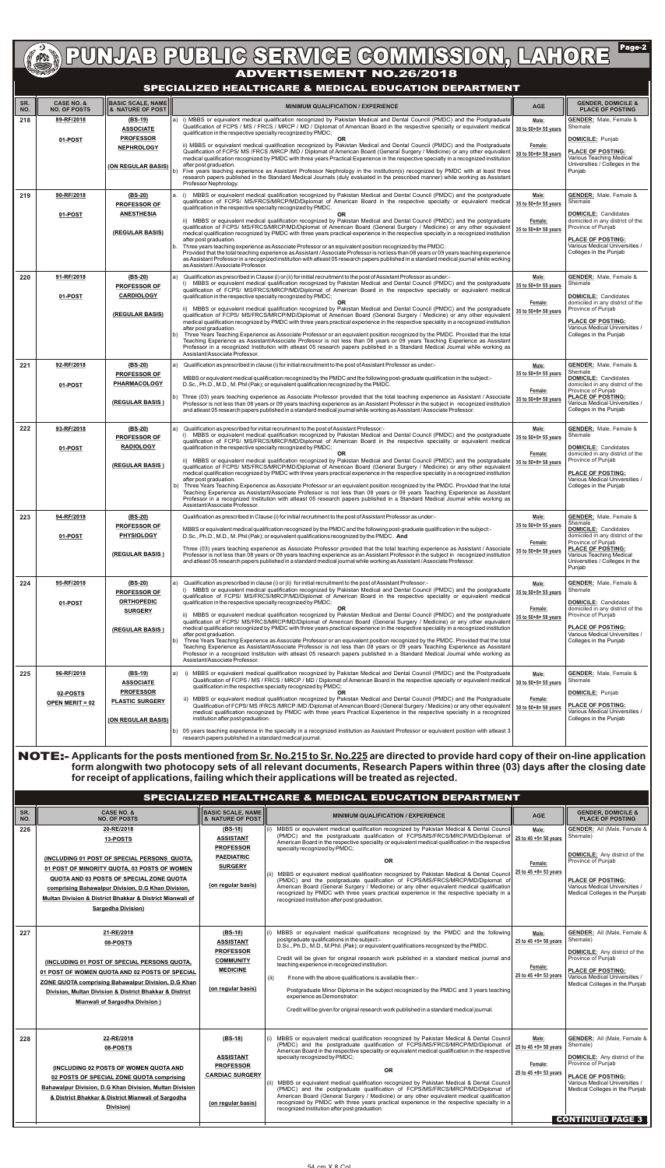**ADVERTIGE COMMISSION, LAHORE** 

 $\sqrt{\mathsf{Page-2}}$ 

| SR.<br>NO. | <b>CASE NO. &amp;</b><br><b>NO. OF POSTS</b> | <b>BASIC SCALE, NAME</b><br><b>8 NATURE OF POST III</b> | <b>MINIMUM QUALIFICATION / EXPERIENCE</b>                                                                                                                                                                                                                                                                                                                                                                                                                                                                                                                                                                      | <b>AGE</b>                      | <b>GENDER, DOMICILE &amp;</b><br><b>PLACE OF POSTING</b>                                                                                                   |
|------------|----------------------------------------------|---------------------------------------------------------|----------------------------------------------------------------------------------------------------------------------------------------------------------------------------------------------------------------------------------------------------------------------------------------------------------------------------------------------------------------------------------------------------------------------------------------------------------------------------------------------------------------------------------------------------------------------------------------------------------------|---------------------------------|------------------------------------------------------------------------------------------------------------------------------------------------------------|
| 218        | 89-RF/2018                                   | (BS-19)<br><b>ASSOCIATE</b>                             | a) i) MBBS or equivalent medical qualification recognized by Pakistan Medical and Dental Council (PMDC) and the Postgraduate<br>Qualification of FCPS / MS / FRCS / MRCP / MD / Diplomat of American Board in the respective specialty or equivalent medical<br>qualification in the respective specialty recognized by PMDC;                                                                                                                                                                                                                                                                                  | Male:<br>30 to 50+5= 55 years   | <b>GENDER:</b> Male, Female &<br>Shemale                                                                                                                   |
|            | 01-POST                                      | <b>PROFESSOR</b><br><b>NEPHROLOGY</b>                   | <b>OR</b><br>ii) MBBS or equivalent medical qualification recognized by Pakistan Medical and Dental Council (PMDC) and the Postgraduate<br>Qualification of FCPS/ MS /FRCS /MRCP /MD / Diplomat of American Board (General Surgery / Medicine) or any other equivalent<br>medical qualification recognized by PMDC with three years Practical Experience in the respective specialty in a recognized institution                                                                                                                                                                                               | Female:<br>30 to 50+8= 58 years | <b>DOMICILE: Punjab</b><br><b>PLACE OF POSTING:</b><br>Various Teaching Medical                                                                            |
|            |                                              | (ON REGULAR BASIS)                                      | after post graduation.<br>Five years teaching experience as Assistant Professor Nephrology in the institution(s) recognized by PMDC with at least three<br>research papers published in the Standard Medical Journals (duly evaluated in the prescribed manner) while working as Assistant<br>Professor Nephrology.                                                                                                                                                                                                                                                                                            |                                 | Universities / Colleges in the<br>Punjab                                                                                                                   |
| 219        | 90-RF/2018                                   | $(BS-20)$<br><b>PROFESSOR OF</b>                        | MBBS or equivalent medical qualification recognized by Pakistan Medical and Dental Council (PMDC) and the postgraduate<br>a. i)<br>qualification of FCPS/ MS/FRCS/MRCP/MD/Diplomat of American Board in the respective specialty or equivalent medical<br>qualification in the respective specialty recognized by PMDC.                                                                                                                                                                                                                                                                                        | Male:<br>35 to 50+5= 55 years   | <b>GENDER:</b> Male, Female &<br>Shemale                                                                                                                   |
|            | 01-POST                                      | <b>ANESTHESIA</b><br>(REGULAR BASIS)                    | <b>OR</b><br>ii) MBBS or equivalent medical qualification recognized by Pakistan Medical and Dental Council (PMDC) and the postgraduate<br>qualification of FCPS/ MS/FRCS/MRCP/MD/Diplomat of American Board (General Surgery / Medicine) or any other equivalent<br>medical qualification recognized by PMDC with three years practical experience in the respective specialty in a recognized institution<br>after post graduation.<br>Three years teaching experience as Associate Professor or an equivalent position recognized by the PMDC:                                                              | Female:<br>35 to 50+8= 58 years | <b>DOMICILE:</b> Candidates<br>domiciled in any district of the<br>Province of Punjab<br><b>PLACE OF POSTING:</b><br>Various Medical Universities /        |
|            |                                              |                                                         | Provided that the total teaching experience as Assistant / Associate Professor is not less than 08 years or 09 years teaching experience<br>as Assistant Professor in a recognized institution with atleast 05 research papers published in a standard medical journal while working<br>as Assistant / Associate Professor.                                                                                                                                                                                                                                                                                    |                                 | Colleges in the Punjab                                                                                                                                     |
| 220        | 91-RF/2018                                   | (BS-20)<br><b>PROFESSOR OF</b>                          | Qualification as prescribed in Clause (i) or (ii) for initial recruitment to the post of Assistant Professor as under:-<br>a)<br>MBBS or equivalent medical qualification recognized by Pakistan Medical and Dental Council (PMDC) and the postgraduate<br>qualification of FCPS/ MS/FRCS/MRCP/MD/Diplomat of American Board in the respective speciality or equivalent medical                                                                                                                                                                                                                                | Male:<br>35 to 50+5= 55 years   | <b>GENDER:</b> Male, Female &<br>Shemale                                                                                                                   |
|            | 01-POST                                      | <b>CARDIOLOGY</b><br>(REGULAR BASIS)                    | qualification in the respective specialty recognized by PMDC;<br>OR.<br>ii) MBBS or equivalent medical qualification recognized by Pakistan Medical and Dental Council (PMDC) and the postgraduate<br>qualification of FCPS/ MS/FRCS/MRCP/MD/Diplomat of American Board (General Surgery / Medicine) or any other equivalent<br>medical qualification recognized by PMDC with three years practical experience in the respective speciality in a recognized institution                                                                                                                                        | Female:<br>35 to 50+8= 58 years | <b>DOMICILE:</b> Candidates<br>domiciled in any district of the<br>Province of Punjab<br><b>PLACE OF POSTING:</b>                                          |
|            |                                              |                                                         | after post graduation.<br>Three Years Teaching Experience as Associate Professor or an equivalent position recognized by the PMDC. Provided that the total<br>b)<br>Teaching Experience as Assistant/Associate Professor is not less than 08 years or 09 years Teaching Experience as Assistant<br>Professor in a recognized Institution with atleast 05 research papers published in a Standard Medical Journal while working as<br>Assistant/Associate Professor.                                                                                                                                            |                                 | Various Medical Universities /<br>Colleges in the Punjab                                                                                                   |
| 221        | 92-RF/2018                                   | $(BS-20)$<br><b>PROFESSOR OF</b>                        | Qualification as prescribed in clause (i) for initial recruitment to the post of Assistant Professor as under:-<br>a)<br>MBBS or equivalent medical qualification recognized by the PMDC and the following post-graduate qualification in the subject:-                                                                                                                                                                                                                                                                                                                                                        | Male:<br>35 to 50+5= 55 years   | <b>GENDER:</b> Male, Female &<br>Shemale<br><b>DOMICILE:</b> Candidates                                                                                    |
|            | 01-POST                                      | PHARMACOLOGY                                            | D.Sc., Ph.D., M.D., M. Phil (Pak); or equivalent qualification recognized by the PMDC.<br>b) Three (03) years teaching experience as Associate Professor provided that the total teaching experience as Assistant / Associate                                                                                                                                                                                                                                                                                                                                                                                  | Female:                         | domiciled in any district of the<br>Province of Punjab<br><b>PLACE OF POSTING:</b>                                                                         |
|            |                                              | (REGULAR BASIS)                                         | Professor is not less than 08 years or 09 years teaching experience as an Assistant Professor in the subject in recognized institution<br>and atleast 05 research papers published in a standard medical journal while working as Assistant / Associate Professor.                                                                                                                                                                                                                                                                                                                                             | 35 to 50+8= 58 years            | Various Medical Universities /<br>Colleges in the Punjab                                                                                                   |
| 222        | 93-RF/2018                                   | (BS-20)<br><b>PROFESSOR OF</b><br><b>RADIOLOGY</b>      | Qualification as prescribed for initial recruitment to the post of Assistant Professor:-<br>a)<br>MBBS or equivalent medical qualification recognized by Pakistan Medical and Dental Council (PMDC) and the postgraduate<br>qualification of FCPS/ MS/FRCS/MRCP/MD/Diplomat of American Board in the respective speciality or equivalent medical<br>qualification in the respective specialty recognized by PMDC;                                                                                                                                                                                              | Male:<br>35 to 50+5= 55 years   | <b>GENDER:</b> Male, Female &<br>Shemale<br><b>DOMICILE:</b> Candidates                                                                                    |
|            | 01-POST                                      | (REGULAR BASIS)                                         | OR.<br>ii) MBBS or equivalent medical qualification recognized by Pakistan Medical and Dental Council (PMDC) and the postgraduate<br>qualification of FCPS/ MS/FRCS/MRCP/MD/Diplomat of American Board (General Surgery / Medicine) or any other equivalent<br>medical qualification recognized by PMDC with three years practical experience in the respective speciality in a recognized institution                                                                                                                                                                                                         | Female:<br>35 to 50+8= 58 years | domiciled in any district of the<br>Province of Punjab<br><b>PLACE OF POSTING:</b>                                                                         |
|            |                                              |                                                         | after post graduation.<br>Three Years Teaching Experience as Associate Professor or an equivalent position recognized by the PMDC. Provided that the total<br>b)<br>Teaching Experience as Assistant/Associate Professor is not less than 08 years or 09 years Teaching Experience as Assistant<br>Professor in a recognized Institution with atleast 05 research papers published in a Standard Medical Journal while working as<br>Assistant/Associate Professor.                                                                                                                                            |                                 | Various Medical Universities /<br>Colleges in the Punjab                                                                                                   |
| 223        | 94-RF/2018                                   | $(BS-20)$<br><b>PROFESSOR OF</b>                        | Qualification as prescribed in Clause (i) for initial recruitment to the post of Assistant Professor as under:-<br>MBBS or equivalent medical qualification recognized by the PMDC and the following post-graduate qualification in the subject:-                                                                                                                                                                                                                                                                                                                                                              | Male:<br>35 to 50+5= 55 years   | <b>GENDER:</b> Male, Female &<br>Shemale<br><b>DOMICILE:</b> Candidates                                                                                    |
|            | 01-POST                                      | <b>PHYSIOLOGY</b><br>(REGULAR BASIS)                    | D.Sc., Ph.D., M.D., M. Phil (Pak); or equivalent qualifications recognized by the PMDC. And<br>Three (03) years teaching experience as Associate Professor provided that the total teaching experience as Assistant / Associate<br>Professor is not less than 08 years or 09 years teaching experience as an Assistant Professor in the subject in recognized institution<br>and atleast 05 research papers published in a standard medical journal while working as Assistant / Associate Professor.                                                                                                          | Female:<br>35 to 50+8= 58 years | domiciled in any district of the<br>Province of Punjab<br><b>PLACE OF POSTING:</b><br>Various Teaching Medical<br>Universities / Colleges in the<br>Punjab |
| 224        | 95-RF/2018                                   | $(BS-20)$<br><b>PROFESSOR OF</b>                        | Qualification as prescribed in clause (i) or (ii) for initial recruitment to the post of Assistant Professor:-<br>a)<br>MBBS or equivalent medical qualification recognized by Pakistan Medical and Dental Council (PMDC) and the postgraduate<br>qualification of FCPS/ MS/FRCS/MRCP/MD/Diplomat of American Board in the respective speciality or equivalent medical                                                                                                                                                                                                                                         | Male:<br>35 to 50+5= 55 years   | <b>GENDER:</b> Male, Female &<br>Shemale                                                                                                                   |
|            | 01-POST                                      | <b>ORTHOPEDIC</b><br><b>SURGERY</b>                     | qualification in the respective specialty recognized by PMDC;<br>OR.<br>ii) MBBS or equivalent medical qualification recognized by Pakistan Medical and Dental Council (PMDC) and the postgraduate<br>qualification of FCPS/ MS/FRCS/MRCP/MD/Diplomat of American Board (General Surgery / Medicine) or any other equivalent                                                                                                                                                                                                                                                                                   | Female:<br>35 to 50+8= 58 years | <b>DOMICILE: Candidates</b><br>domiciled in any district of the<br>Province of Punjab                                                                      |
|            |                                              | (REGULAR BASIS)                                         | medical qualification recognized by PMDC with three years practical experience in the respective speciality in a recognized institution<br>after post graduation.<br>Three Years Teaching Experience as Associate Professor or an equivalent position recognized by the PMDC. Provided that the total<br>b)<br>Teaching Experience as Assistant/Associate Professor is not less than 08 years or 09 years Teaching Experience as Assistant<br>Professor in a recognized Institution with atleast 05 research papers published in a Standard Medical Journal while working as<br>Assistant/Associate Professor. |                                 | <b>PLACE OF POSTING:</b><br>Various Medical Universities /<br>Colleges in the Punjab                                                                       |
| 225        | 96-RF/2018                                   | $(BS-19)$<br><b>ASSOCIATE</b><br><b>PROFESSOR</b>       | i) MBBS or equivalent medical qualification recognized by Pakistan Medical and Dental Council (PMDC) and the Postgraduate<br>a)<br>Qualification of FCPS / MS / FRCS / MRCP / MD / Diplomat of American Board in the respective specialty or equivalent medical<br>qualification in the respective specialty recognized by PMDC;<br><b>OR</b>                                                                                                                                                                                                                                                                  | Male:<br>30 to 50+5= 55 years   | <b>GENDER:</b> Male, Female &<br>Shemale<br><b>DOMICILE: Punjab</b>                                                                                        |
|            | 02-POSTS<br><b>OPEN MERIT = 02</b>           | <b>PLASTIC SURGERY</b><br>(ON REGULAR BASIS)            | ii) MBBS or equivalent medical qualification recognized by Pakistan Medical and Dental Council (PMDC) and the Postgraduate<br>Qualification of FCPS/MS/FRCS/MRCP/MD/Diplomat of American Board (General Surgery / Medicine) or any other equivalent<br>medical qualification recognized by PMDC with three years Practical Experience in the respective specialty in a recognized<br>institution after post graduation.                                                                                                                                                                                        | Female:<br>30 to 50+8= 58 years | <b>PLACE OF POSTING:</b><br>Various Medical Universities /<br>Colleges in the Punjab                                                                       |
|            |                                              |                                                         | b) 05 years teaching experience in the specialty in a recognized institution as Assistant Professor or equivalent position with atleast 3<br>research papers published in a standard medical journal.                                                                                                                                                                                                                                                                                                                                                                                                          |                                 |                                                                                                                                                            |

### **SPECIALIZED HEALTHCARE & MEDICAL EDUCATION DEPARTMENT**

NOTE:- **Applicants for the posts mentioned from Sr. No.215 to Sr. No.225 are directed to provide hard copy of their on-line application form alongwith two photocopy sets of all relevant documents, Research Papers within three (03) days after the closing date for receipt of applications, failing which their applications will be treated as rejected.**

| SR.<br>NO. | <b>CASE NO. &amp;</b><br><b>NO. OF POSTS</b>                                                                                                                                                                                                                                                                       | <b>BASIC SCALE, NAME</b><br><b>8 NATURE OF POST III</b>                                                        | <b>MINIMUM QUALIFICATION / EXPERIENCE</b>                                                                                                                                                                                                                                                                                                                                                                                                                                                                                                                                                                                                                                                                                                                        | <b>AGE</b>                                                         | <b>GENDER, DOMICILE &amp;</b><br><b>PLACE OF POSTING</b>                                                                                                                                                                                |
|------------|--------------------------------------------------------------------------------------------------------------------------------------------------------------------------------------------------------------------------------------------------------------------------------------------------------------------|----------------------------------------------------------------------------------------------------------------|------------------------------------------------------------------------------------------------------------------------------------------------------------------------------------------------------------------------------------------------------------------------------------------------------------------------------------------------------------------------------------------------------------------------------------------------------------------------------------------------------------------------------------------------------------------------------------------------------------------------------------------------------------------------------------------------------------------------------------------------------------------|--------------------------------------------------------------------|-----------------------------------------------------------------------------------------------------------------------------------------------------------------------------------------------------------------------------------------|
| 226        | 20-RE/2018<br>13-POSTS<br>(INCLUDING 01 POST OF SPECIAL PERSONS QUOTA,<br>01 POST OF MINORITY QUOTA, 03 POSTS OF WOMEN<br>QUOTA AND 03 POSTS OF SPECIAL ZONE QUOTA<br>comprising Bahawalpur Division, D.G Khan Division,<br>Multan Division & District Bhakkar & District Mianwali of<br><b>Sargodha Division)</b> | $(BS-18)$<br><b>ASSISTANT</b><br><b>PROFESSOR</b><br><b>PAEDIATRIC</b><br><b>SURGERY</b><br>(on regular basis) | MBBS or equivalent medical qualification recognized by Pakistan Medical & Dental Council<br>(i)<br>(PMDC) and the postgraduate qualification of FCPS/MS/FRCS/MRCP/MD/Diplomat of<br>American Board in the respective speciality or equivalent medical qualification in the respective<br>specialty recognized by PMDC;<br><b>OR</b><br>(ii) MBBS or equivalent medical qualification recognized by Pakistan Medical & Dental Council<br>(PMDC) and the postgraduate qualification of FCPS/MS/FRCS/MRCP/MD/Diplomat of<br>American Board (General Surgery / Medicine) or any other equivalent medical qualification<br>recognized by PMDC with three years practical experience in the respective specialty in a<br>recognized institution after post graduation. | Male:<br>25 to 45 +5= 50 years<br>Female:<br>25 to 45 +8= 53 years | <b>GENDER:</b> All (Male, Female &<br>Shemale)<br><b>DOMICILE:</b> Any district of the<br>Province of Punjab<br><b>PLACE OF POSTING:</b><br>Various Medical Universities /<br>Medical Colleges in the Punjab                            |
| 227        | 21-RE/2018<br>08-POSTS<br>(INCLUDING 01 POST OF SPECIAL PERSONS QUOTA,<br>01 POST OF WOMEN QUOTA AND 02 POSTS OF SPECIAL<br>ZONE QUOTA comprising Bahawalpur Division, D.G Khan<br>Division, Multan Division & District Bhakkar & District<br><b>Mianwali of Sargodha Division )</b>                               | (BS-18)<br><b>ASSISTANT</b><br><b>PROFESSOR</b><br><b>COMMUNITY</b><br><b>MEDICINE</b><br>(on regular basis)   | (i) MBBS or equivalent medical qualifications recognized by the PMDC and the following<br>postgraduate qualifications in the subject:-<br>D.Sc., Ph.D., M.D., M.Phil. (Pak); or equivalent qualifications recognized by the PMDC.<br>Credit will be given for original research work published in a standard medical journal and<br>teaching experience in recognized institution.<br>If none with the above qualifications is available then:-<br>(ii)<br>Postgraduate Minor Diploma in the subject recognized by the PMDC and 3 years teaching<br>experience as Demonstrator:<br>Credit will be given for original research work published in a standard medical journal.                                                                                      | Male:<br>25 to 45 +5= 50 years<br>Female:<br>25 to 45 +8= 53 years | <b>GENDER:</b> All (Male, Female &<br>Shemale)<br><b>DOMICILE:</b> Any district of the<br>Province of Punjab<br><b>PLACE OF POSTING:</b><br>Various Medical Universities /<br>Medical Colleges in the Punjab                            |
| 228        | 22-RE/2018<br>08-POSTS<br>(INCLUDING 02 POSTS OF WOMEN QUOTA AND<br>02 POSTS OF SPECIAL ZONE QUOTA comprising<br>Bahawalpur Division, D.G Khan Division, Multan Division<br>& District Bhakkar & District Mianwali of Sargodha<br>Division)                                                                        | (BS-18)<br><b>ASSISTANT</b><br><b>PROFESSOR</b><br><b>CARDIAC SURGERY</b><br>(on regular basis)                | (i) MBBS or equivalent medical qualification recognized by Pakistan Medical & Dental Council<br>(PMDC) and the postgraduate qualification of FCPS/MS/FRCS/MRCP/MD/Diplomat of<br>American Board in the respective speciality or equivalent medical qualification in the respective<br>specialty recognized by PMDC;<br><b>OR</b><br>(ii) MBBS or equivalent medical qualification recognized by Pakistan Medical & Dental Council<br>(PMDC) and the postgraduate qualification of FCPS/MS/FRCS/MRCP/MD/Diplomat of<br>American Board (General Surgery / Medicine) or any other equivalent medical qualification<br>recognized by PMDC with three years practical experience in the respective specialty in a<br>recognized institution after post graduation.    | Male:<br>25 to 45 +5= 50 years<br>Female:<br>25 to 45 +8= 53 years | <b>GENDER:</b> All (Male, Female &<br>Shemale)<br><b>DOMICILE:</b> Any district of the<br>Province of Punjab<br><b>PLACE OF POSTING:</b><br>Various Medical Universities /<br>Medical Colleges in the Punjab<br><b>CONTINUED PAGE 3</b> |

### **SPECIALIZED HEALTHCARE & MEDICAL EDUCATION DEPARTMENT**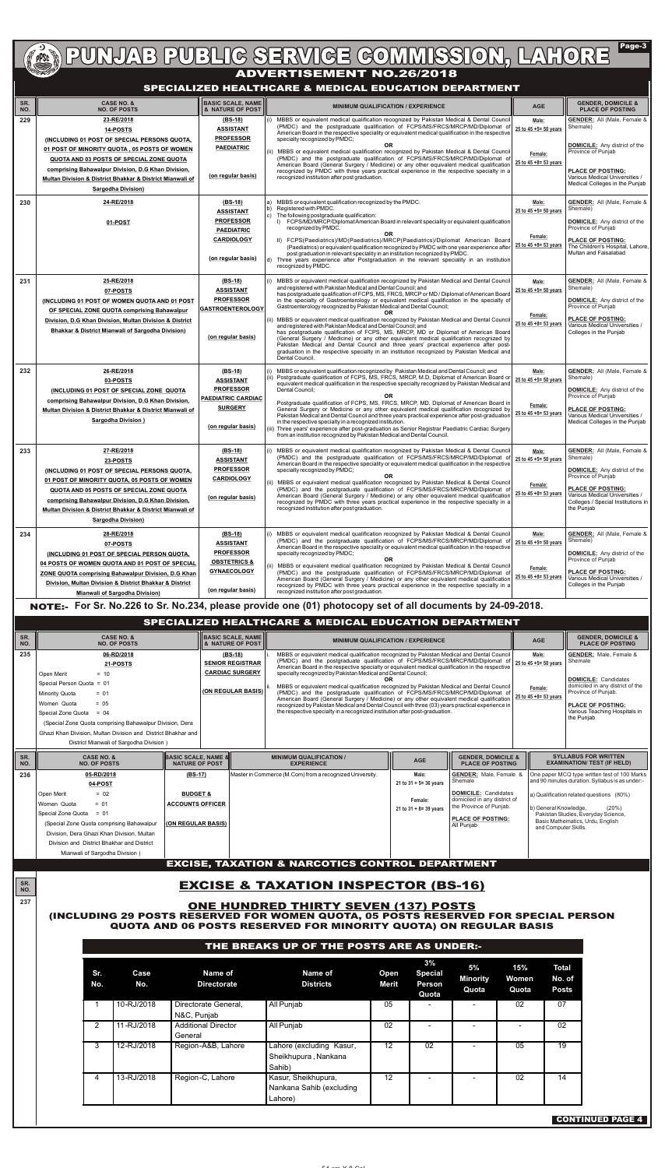| SR.<br>NO. | <b>CASE NO. &amp;</b><br><b>NO. OF POSTS</b>                                                                                                                                                                                                                                                                              | <b>BASIC SCALE, NAME</b><br>& NATURE OF POST                                                                           | <b>MINIMUM QUALIFICATION / EXPERIENCE</b><br><b>AGE</b>                                                                                                                                                                                                                                                                                                                                                                                                                                                                                                                                                                                                                                                                                                                                                                                                                                                                                                                                                                                                                | <b>GENDER, DOMICILE &amp;</b><br><b>PLACE OF POSTING</b>                                                                                                                                                                       |
|------------|---------------------------------------------------------------------------------------------------------------------------------------------------------------------------------------------------------------------------------------------------------------------------------------------------------------------------|------------------------------------------------------------------------------------------------------------------------|------------------------------------------------------------------------------------------------------------------------------------------------------------------------------------------------------------------------------------------------------------------------------------------------------------------------------------------------------------------------------------------------------------------------------------------------------------------------------------------------------------------------------------------------------------------------------------------------------------------------------------------------------------------------------------------------------------------------------------------------------------------------------------------------------------------------------------------------------------------------------------------------------------------------------------------------------------------------------------------------------------------------------------------------------------------------|--------------------------------------------------------------------------------------------------------------------------------------------------------------------------------------------------------------------------------|
| 229        | 23-RE/2018<br>14-POSTS<br>(INCLUDING 01 POST OF SPECIAL PERSONS QUOTA,<br>01 POST OF MINORITY QUOTA, 05 POSTS OF WOMEN<br>QUOTA AND 03 POSTS OF SPECIAL ZONE QUOTA<br>comprising Bahawalpur Division, D.G Khan Division,<br>Multan Division & District Bhakkar & District Mianwali of<br><b>Sargodha Division)</b>        | (BS-18)<br><b>ASSISTANT</b><br><b>PROFESSOR</b><br><b>PAEDIATRIC</b><br>(on regular basis)                             | MBBS or equivalent medical qualification recognized by Pakistan Medical & Dental Council<br>Male:<br>(i)<br>(PMDC) and the postgraduate qualification of FCPS/MS/FRCS/MRCP/MD/Diplomat of<br>25 to 45 +5= 50 years<br>American Board in the respective speciality or equivalent medical qualification in the respective<br>specialty recognized by PMDC;<br><b>OR</b><br>MBBS or equivalent medical qualification recognized by Pakistan Medical & Dental Council<br>Female:<br>(PMDC) and the postgraduate qualification of FCPS/MS/FRCS/MRCP/MD/Diplomat of<br>25 to 45 +8= 53 years<br>American Board (General Surgery / Medicine) or any other equivalent medical qualification<br>recognized by PMDC with three years practical experience in the respective specialty in a<br>recognized institution after post graduation.                                                                                                                                                                                                                                      | <b>GENDER:</b> All (Male, Female &<br>Shemale)<br><b>DOMICILE:</b> Any district of the<br>Province of Punjab<br><b>PLACE OF POSTING:</b><br>Various Medical Universities /<br>Medical Colleges in the Punjab                   |
| 230        | 24-RE/2018<br>01-POST                                                                                                                                                                                                                                                                                                     | (BS-18)<br><b>ASSISTANT</b><br><b>PROFESSOR</b><br><b>PAEDIATRIC</b><br><b>CARDIOLOGY</b><br>(on regular basis)        | MBBS or equivalent qualification recognized by the PMDC.<br>Male:<br>Registered with PMDC.<br>25 to 45 +5= 50 years<br>The following postgraduate qualification:<br>lc)<br>I) FCPS/MD/MRCP/Diplomat American Board in relevant speciality or equivalent qualification<br>recognized by PMDC.<br>OR<br>Female:<br>II) FCPS(Paediatrics)/MD(Paediatrics)/MRCP(Paediatrics)/Diplomat American Board<br>25 to 45 +8= 53 years<br>(Paediatrics) or equivalent qualification recognized by PMDC with one year experience after<br>post graduation in relevant speciality in an institution recognized by PMDC.<br>d) Three years experience after Postgraduation in the relevant speciality in an institution<br>recognized by PMDC.                                                                                                                                                                                                                                                                                                                                         | <b>GENDER:</b> All (Male, Female &<br>Shemale)<br><b>DOMICILE:</b> Any district of the<br>Province of Punjab<br><b>PLACE OF POSTING:</b><br>The Children's Hospital, Lahore,<br>Multan and Faisalabad                          |
| 231        | 25-RE/2018<br>07-POSTS<br>(INCLUDING 01 POST OF WOMEN QUOTA AND 01 POST<br>OF SPECIAL ZONE QUOTA comprising Bahawalpur<br>Division, D.G Khan Division, Multan Division & District<br><b>Bhakkar &amp; District Mianwali of Sargodha Division)</b>                                                                         | $(BS-18)$<br><b>ASSISTANT</b><br><b>PROFESSOR</b><br><b>GASTROENTEROLOGY</b><br>(on regular basis)                     | MBBS or equivalent medical qualification recognized by Pakistan Medical and Dental Council<br>Male:<br>and registered with Pakistan Medical and Dental Council; and<br>25 to 45 +5= 50 years<br>has postgraduate qualification of FCPS, MS, FRCS, MRCP or MD / Diplomat of American Board<br>in the specialty of Gastroenterology or equivalent medical qualification in the specialty of<br>Gastroenterology recognized by Pakistan Medical and Dental Council;<br>OR.<br>Female:<br>MBBS or equivalent medical qualification recognized by Pakistan Medical and Dental Council<br>25 to 45 +8= 53 years<br>and registered with Pakistan Medical and Dental Council; and<br>has postgraduate qualification of FCPS, MS, MRCP, MD or Diplomat of American Board<br>(General Surgery / Medicine) or any other equivalent medical qualification recognized by<br>Pakistan Medical and Dental Council and three years' practical experience after post-<br>graduation in the respective specialty in an institution recognized by Pakistan Medical and<br>Dental Council. | <b>GENDER:</b> All (Male, Female &<br>Shemale)<br><b>DOMICILE:</b> Any district of the<br>Province of Punjab<br><b>PLACE OF POSTING:</b><br>Various Medical Universities /<br>Colleges in the Punjab                           |
| 232        | 26-RE/2018<br>03-POSTS<br>(INCLUDING 01 POST OF SPECIAL ZONE QUOTA<br>comprising Bahawalpur Division, D.G Khan Division,<br>Multan Division & District Bhakkar & District Mianwali of<br><b>Sargodha Division )</b>                                                                                                       | $(BS-18)$<br><b>ASSISTANT</b><br><b>PROFESSOR</b><br><b>PAEDIATRIC CARDIAC</b><br><b>SURGERY</b><br>(on regular basis) | MBBS or equivalent qualification recognized by Pakistan Medical and Dental Council; and<br>Male:<br>Postgraduate qualification of FCPS, MS, FRCS, MRCP, M.D, Diplomat of American Board or<br>25 to 45 +5= 50 years<br>equivalent medical qualification in the respective specialty recognized by Pakistan Medical and<br>Dental Council:<br><b>OR</b><br>Postgraduate qualification of FCPS, MS, FRCS, MRCP, MD, Diplomat of American Board in<br>Female:<br>General Surgery or Medicine or any other equivalent medical qualification recognized by<br>25 to 45 $+8=$ 53 years<br>Pakistan Medical and Dental Council and three years practical experience after post-graduation<br>in the respective specialty in a recognized institution.<br>(iii) Three years' experience after post-graduation as Senior Registrar Paediatric Cardiac Surgery<br>from an institution recognized by Pakistan Medical and Dental Council.                                                                                                                                         | <b>GENDER:</b> All (Male, Female &<br>Shemale)<br><b>DOMICILE:</b> Any district of the<br>Province of Punjab<br><b>PLACE OF POSTING:</b><br>Various Medical Universities /<br>Medical Colleges in the Punjab                   |
| 233        | 27-RE/2018<br>23-POSTS<br><b>(INCLUDING 01 POST OF SPECIAL PERSONS QUOTA,</b><br>01 POST OF MINORITY QUOTA, 05 POSTS OF WOMEN<br>QUOTA AND 05 POSTS OF SPECIAL ZONE QUOTA<br>comprising Bahawalpur Division, D.G Khan Division,<br>Multan Division & District Bhakkar & District Mianwali of<br><b>Sargodha Division)</b> | $(BS-18)$<br><b>ASSISTANT</b><br><b>PROFESSOR</b><br><b>CARDIOLOGY</b><br>(on regular basis)                           | MBBS or equivalent medical qualification recognized by Pakistan Medical & Dental Council<br>Male:<br>(PMDC) and the postgraduate qualification of FCPS/MS/FRCS/MRCP/MD/Diplomat of<br>25 to 45 +5= 50 years<br>American Board in the respective speciality or equivalent medical qualification in the respective<br>specialty recognized by PMDC;<br><b>OR</b><br>MBBS or equivalent medical qualification recognized by Pakistan Medical & Dental Council<br>Female:<br>(PMDC) and the postgraduate qualification of FCPS/MS/FRCS/MRCP/MD/Diplomat of<br>25 to 45 +8= 53 years<br>American Board (General Surgery / Medicine) or any other equivalent medical qualification<br>recognized by PMDC with three years practical experience in the respective specialty in a<br>recognized institution after post graduation.                                                                                                                                                                                                                                             | <b>GENDER:</b> All (Male, Female &<br>Shemale)<br><b>DOMICILE:</b> Any district of the<br>Province of Punjab<br><b>PLACE OF POSTING:</b><br>Various Medical Universities /<br>Colleges / Special Institutions in<br>the Punjab |
| 234        | 28-RE/2018<br>07-POSTS<br>(INCLUDING 01 POST OF SPECIAL PERSON QUOTA,<br>04 POSTS OF WOMEN QUOTA AND 01 POST OF SPECIAL<br>ZONE QUOTA comprising Bahawalpur Division, D.G Khan<br>Division, Multan Division & District Bhakkar & District<br><b>Mianwali of Sargodha Division)</b>                                        | (BS-18)<br><b>ASSISTANT</b><br><b>PROFESSOR</b><br><b>OBSTETRICS &amp;</b><br><b>GYNAECOLOGY</b><br>(on regular basis) | MBBS or equivalent medical qualification recognized by Pakistan Medical & Dental Council<br>Male:<br>(i)<br>(PMDC) and the postgraduate qualification of FCPS/MS/FRCS/MRCP/MD/Diplomat of<br>25 to 45 +5= 50 years<br>American Board in the respective speciality or equivalent medical qualification in the respective<br>specialty recognized by PMDC;<br><b>OR</b><br>MBBS or equivalent medical qualification recognized by Pakistan Medical & Dental Council<br>Female:<br>(PMDC) and the postgraduate qualification of FCPS/MS/FRCS/MRCP/MD/Diplomat of<br>25 to 45 +8= 53 years<br>American Board (General Surgery / Medicine) or any other equivalent medical qualification<br>recognized by PMDC with three years practical experience in the respective specialty in a<br>recognized institution after post graduation.<br>NOTE:- For Sr. No.226 to Sr. No.234, please provide one (01) photocopy set of all documents by 24-09-2018.                                                                                                                        | <b>GENDER:</b> All (Male, Female &<br>Shemale)<br><b>DOMICILE:</b> Any district of the<br>Province of Punjab<br><b>PLACE OF POSTING:</b><br>Various Medical Universities /<br>Colleges in the Punjab                           |

| SR.<br>NO. | <b>CASE NO. &amp;</b><br><b>NO. OF POSTS</b>                                                                                                                                                                                                                   |                                                                      | <b>BASIC SCALE, NAME</b><br>& NATURE OF POST |                                                                                                                                                                                                                                                                                                                                                                                                                                                                                                                                                                                                                                                                                                                                                                                                                      | <b>MINIMUM QUALIFICATION / EXPERIENCE</b> |                                                                                                                                                                                   |                                                                    | <b>GENDER, DOMICILE &amp;</b><br><b>PLACE OF POSTING</b>                                                                                                                                        |
|------------|----------------------------------------------------------------------------------------------------------------------------------------------------------------------------------------------------------------------------------------------------------------|----------------------------------------------------------------------|----------------------------------------------|----------------------------------------------------------------------------------------------------------------------------------------------------------------------------------------------------------------------------------------------------------------------------------------------------------------------------------------------------------------------------------------------------------------------------------------------------------------------------------------------------------------------------------------------------------------------------------------------------------------------------------------------------------------------------------------------------------------------------------------------------------------------------------------------------------------------|-------------------------------------------|-----------------------------------------------------------------------------------------------------------------------------------------------------------------------------------|--------------------------------------------------------------------|-------------------------------------------------------------------------------------------------------------------------------------------------------------------------------------------------|
| 235        | 06-RD/2018<br>(BS-18)<br><b>SENIOR REGISTRAR</b><br>21-POSTS<br><b>CARDIAC SURGERY</b><br>Open Merit<br>$= 10$<br>Special Person Quota = 01<br>(ON REGULAR BASIS)<br><b>Minority Quota</b><br>$= 01$<br>Women Quota<br>$= 0.5$<br>Special Zone Quota<br>$= 04$ |                                                                      |                                              | MBBS or equivalent medical qualification recognized by Pakistan Medical and Dental Council<br>(PMDC) and the postgraduate qualification of FCPS/MS/FRCS/MRCP/MD/Diplomat of<br>American Board in the respective specialty or equivalent medical qualification in the respective<br>specialty recognized by Pakistan Medical and Dental Council;<br>OR.<br>MBBS or equivalent medical qualification recognized by Pakistan Medical and Dental Council<br>(PMDC) and the postgraduate qualification of FCPS/MS/FRCS/MRCP/MD/Diplomat of<br>American Board (General Surgery / Medicine) or any other equivalent medical qualification<br>recognized by Pakistan Medical and Dental Council with three (03) years practical experience in<br>the respective specialty in a recognized institution after post-graduation. |                                           |                                                                                                                                                                                   | Male:<br>25 to 45 +5= 50 years<br>Female:<br>25 to 45 +8= 53 years | <b>GENDER:</b> Male, Female &<br>Shemale<br><b>DOMICILE: Candidates</b><br>domiciled in any district of the<br>Province of Punjab.<br><b>PLACE OF POSTING:</b><br>Various Teaching Hospitals in |
|            | (Special Zone Quota comprising Bahawalpur Division, Dera<br>Ghazi Khan Division, Multan Division and District Bhakhar and<br>District Mianwali of Sargodha Division)                                                                                           |                                                                      |                                              |                                                                                                                                                                                                                                                                                                                                                                                                                                                                                                                                                                                                                                                                                                                                                                                                                      |                                           |                                                                                                                                                                                   |                                                                    | the Punjab                                                                                                                                                                                      |
| SR.<br>NO. | <b>CASE NO. &amp;</b><br><b>NO. OF POSTS</b>                                                                                                                                                                                                                   | <b>IBASIC SCALE. NAME &amp;I</b><br><b>NATURE OF POST</b>            |                                              | <b>MINIMUM QUALIFICATION /</b><br><b>EXPERIENCE</b>                                                                                                                                                                                                                                                                                                                                                                                                                                                                                                                                                                                                                                                                                                                                                                  | <b>AGE</b>                                | <b>GENDER. DOMICILE &amp;</b><br><b>PLACE OF POSTING</b>                                                                                                                          |                                                                    | <b>SYLLABUS FOR WRITTEN</b><br><b>EXAMINATION/ TEST (IF HELD)</b>                                                                                                                               |
| 236        | 05-RD/2018<br>04-POST                                                                                                                                                                                                                                          | $(BS-17)$                                                            |                                              | Master in Commerce (M.Com) from a recognized University.                                                                                                                                                                                                                                                                                                                                                                                                                                                                                                                                                                                                                                                                                                                                                             | Male:<br>21 to $31 + 5 = 36$ years        | <b>GENDER:</b> Male, Female &<br>Shemale                                                                                                                                          |                                                                    | One paper MCQ type written test of 100 Marks<br>and 90 minutes duration. Syllabus is as under:-                                                                                                 |
|            | $= 02$<br>Open Merit<br>Women Quota<br>$= 01$<br>Special Zone Quota = 01<br>(Special Zone Quota comprising Bahawalpur<br>Division, Dera Ghazi Khan Division, Multan<br>Division and District Bhakhar and District<br>Mianwali of Sargodha Division)            | <b>BUDGET &amp;</b><br><b>ACCOUNTS OFFICER</b><br>(ON REGULAR BASIS) |                                              |                                                                                                                                                                                                                                                                                                                                                                                                                                                                                                                                                                                                                                                                                                                                                                                                                      | Female:<br>21 to $31 + 8 = 39$ years      | <b>DOMICILE: Candidates</b><br>domiciled in any district of<br>the Province of Puniab.<br>b) General Knowledge,<br><b>PLACE OF POSTING:</b><br>All Punjab<br>and Computer Skills. |                                                                    | a) Qualification related questions (80%)<br>(20%)<br>Pakistan Studies, Everyday Science,<br>Basic Mathematics, Urdu, English                                                                    |
|            |                                                                                                                                                                                                                                                                |                                                                      |                                              | <b>EXCISE, TAXATION &amp; NARCOTICS CONTROL DEPARTMENT</b>                                                                                                                                                                                                                                                                                                                                                                                                                                                                                                                                                                                                                                                                                                                                                           |                                           |                                                                                                                                                                                   |                                                                    |                                                                                                                                                                                                 |

# **ADVERTIGE COMMISSION, LAHORE** Page-3

### **SPECIALIZED HEALTHCARE & MEDICAL EDUCATION DEPARTMENT**

## **SPECIALIZED HEALTHCARE & MEDICAL EDUCATION DEPARTMENT**

CONTINUED PAGE 4

**SR. NO.**

**237**

# EXCISE & TAXATION INSPECTOR (BS-16)

### ONE HUNDRED THIRTY SEVEN (137) POSTS

### (INCLUDING 29 POSTS RESERVED FOR WOMEN QUOTA, 05 POSTS RESERVED FOR SPECIAL PERSON QUOTA AND 06 POSTS RESERVED FOR MINORITY QUOTA) ON REGULAR BASIS

|                |             |                                       | THE BREAKS UP OF THE POSTS ARE AS UNDER:-                  |                             |                                                |                                |                       |                                        |
|----------------|-------------|---------------------------------------|------------------------------------------------------------|-----------------------------|------------------------------------------------|--------------------------------|-----------------------|----------------------------------------|
| Sr.<br>No.     | Case<br>No. | Name of<br><b>Directorate</b>         | <b>Name of</b><br><b>Districts</b>                         | <b>Open</b><br><b>Merit</b> | 3%<br><b>Special</b><br><b>Person</b><br>Quota | 5%<br><b>Minority</b><br>Quota | 15%<br>Women<br>Quota | <b>Total</b><br>No. of<br><b>Posts</b> |
|                | 10-RJ/2018  | Directorate General,<br>N&C, Punjab   | All Punjab                                                 | 05                          |                                                |                                | 02                    | 07                                     |
| $\overline{2}$ | 11-RJ/2018  | <b>Additional Director</b><br>General | All Punjab                                                 | 02                          |                                                |                                |                       | 02                                     |
| 3              | 12-RJ/2018  | Region-A&B, Lahore                    | Lahore (excluding Kasur,<br>Sheikhupura, Nankana<br>Sahib) | 12                          | 02                                             |                                | 05                    | 19                                     |
| 4              | 13-RJ/2018  | Region-C, Lahore                      | Kasur, Sheikhupura,<br>Nankana Sahib (excluding<br>Lahore) | 12                          |                                                |                                | 02                    | 14                                     |